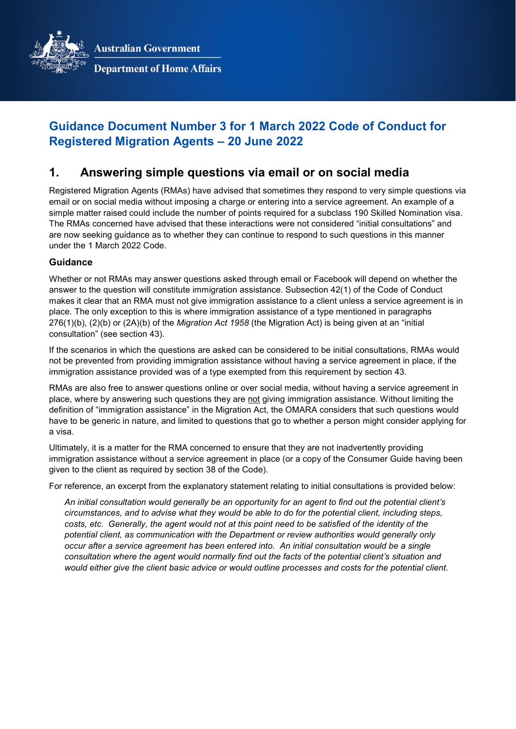**Australian Government** 



**Department of Home Affairs** 

# **Guidance Document Number 3 for 1 March 2022 Code of Conduct for Registered Migration Agents – 20 June 2022**

## **1. Answering simple questions via email or on social media**

Registered Migration Agents (RMAs) have advised that sometimes they respond to very simple questions via email or on social media without imposing a charge or entering into a service agreement. An example of a simple matter raised could include the number of points required for a subclass 190 Skilled Nomination visa. The RMAs concerned have advised that these interactions were not considered "initial consultations" and are now seeking guidance as to whether they can continue to respond to such questions in this manner under the 1 March 2022 Code.

### **Guidance**

Whether or not RMAs may answer questions asked through email or Facebook will depend on whether the answer to the question will constitute immigration assistance. Subsection 42(1) of the Code of Conduct makes it clear that an RMA must not give immigration assistance to a client unless a service agreement is in place. The only exception to this is where immigration assistance of a type mentioned in paragraphs 276(1)(b), (2)(b) or (2A)(b) of the *Migration Act 1958* (the Migration Act) is being given at an "initial consultation" (see section 43).

If the scenarios in which the questions are asked can be considered to be initial consultations, RMAs would not be prevented from providing immigration assistance without having a service agreement in place, if the immigration assistance provided was of a type exempted from this requirement by section 43.

RMAs are also free to answer questions online or over social media, without having a service agreement in place, where by answering such questions they are not giving immigration assistance. Without limiting the definition of "immigration assistance" in the Migration Act, the OMARA considers that such questions would have to be generic in nature, and limited to questions that go to whether a person might consider applying for a visa.

Ultimately, it is a matter for the RMA concerned to ensure that they are not inadvertently providing immigration assistance without a service agreement in place (or a copy of the Consumer Guide having been given to the client as required by section 38 of the Code).

For reference, an excerpt from the explanatory statement relating to initial consultations is provided below:

*An initial consultation would generally be an opportunity for an agent to find out the potential client's circumstances, and to advise what they would be able to do for the potential client, including steps, costs, etc. Generally, the agent would not at this point need to be satisfied of the identity of the potential client, as communication with the Department or review authorities would generally only occur after a service agreement has been entered into. An initial consultation would be a single consultation where the agent would normally find out the facts of the potential client's situation and would either give the client basic advice or would outline processes and costs for the potential client.*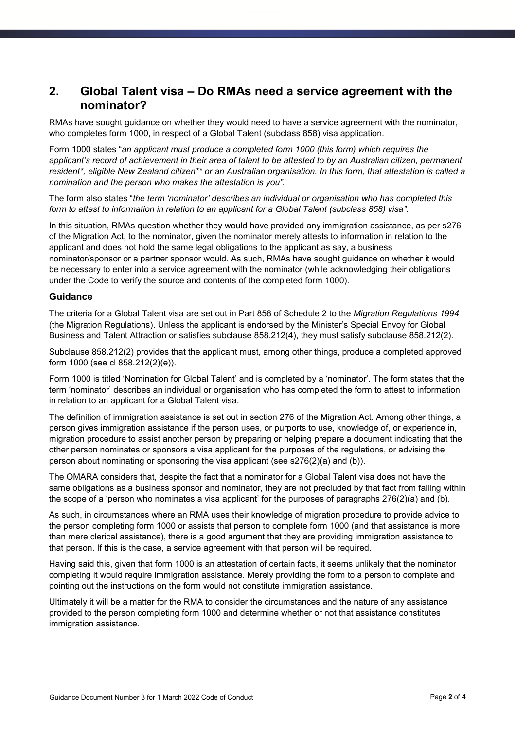## **2. Global Talent visa – Do RMAs need a service agreement with the nominator?**

RMAs have sought guidance on whether they would need to have a service agreement with the nominator, who completes form 1000, in respect of a Global Talent (subclass 858) visa application.

Form 1000 states "*an applicant must produce a completed form 1000 (this form) which requires the applicant's record of achievement in their area of talent to be attested to by an Australian citizen, permanent resident\*, eligible New Zealand citizen\*\* or an Australian organisation. In this form, that attestation is called a nomination and the person who makes the attestation is you".*

The form also states "*the term 'nominator' describes an individual or organisation who has completed this form to attest to information in relation to an applicant for a Global Talent (subclass 858) visa".* 

In this situation, RMAs question whether they would have provided any immigration assistance, as per s276 of the Migration Act, to the nominator, given the nominator merely attests to information in relation to the applicant and does not hold the same legal obligations to the applicant as say, a business nominator/sponsor or a partner sponsor would. As such, RMAs have sought guidance on whether it would be necessary to enter into a service agreement with the nominator (while acknowledging their obligations under the Code to verify the source and contents of the completed form 1000).

### **Guidance**

The criteria for a Global Talent visa are set out in Part 858 of Schedule 2 to the *Migration Regulations 1994* (the Migration Regulations). Unless the applicant is endorsed by the Minister's Special Envoy for Global Business and Talent Attraction or satisfies subclause 858.212(4), they must satisfy subclause 858.212(2).

Subclause 858.212(2) provides that the applicant must, among other things, produce a completed approved form 1000 (see cl 858.212(2)(e)).

Form 1000 is titled 'Nomination for Global Talent' and is completed by a 'nominator'. The form states that the term 'nominator' describes an individual or organisation who has completed the form to attest to information in relation to an applicant for a Global Talent visa.

The definition of immigration assistance is set out in section 276 of the Migration Act. Among other things, a person gives immigration assistance if the person uses, or purports to use, knowledge of, or experience in, migration procedure to assist another person by preparing or helping prepare a document indicating that the other person nominates or sponsors a visa applicant for the purposes of the regulations, or advising the person about nominating or sponsoring the visa applicant (see s276(2)(a) and (b)).

The OMARA considers that, despite the fact that a nominator for a Global Talent visa does not have the same obligations as a business sponsor and nominator, they are not precluded by that fact from falling within the scope of a 'person who nominates a visa applicant' for the purposes of paragraphs 276(2)(a) and (b).

As such, in circumstances where an RMA uses their knowledge of migration procedure to provide advice to the person completing form 1000 or assists that person to complete form 1000 (and that assistance is more than mere clerical assistance), there is a good argument that they are providing immigration assistance to that person. If this is the case, a service agreement with that person will be required.

Having said this, given that form 1000 is an attestation of certain facts, it seems unlikely that the nominator completing it would require immigration assistance. Merely providing the form to a person to complete and pointing out the instructions on the form would not constitute immigration assistance.

Ultimately it will be a matter for the RMA to consider the circumstances and the nature of any assistance provided to the person completing form 1000 and determine whether or not that assistance constitutes immigration assistance.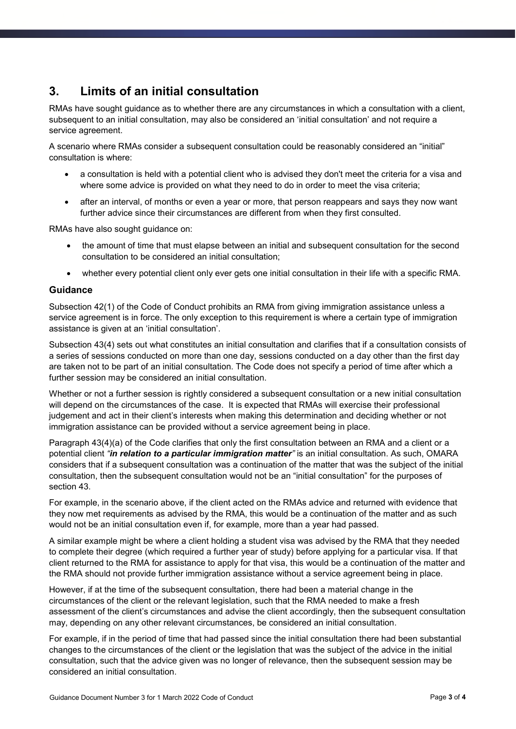# **3. Limits of an initial consultation**

RMAs have sought guidance as to whether there are any circumstances in which a consultation with a client, subsequent to an initial consultation, may also be considered an 'initial consultation' and not require a service agreement.

A scenario where RMAs consider a subsequent consultation could be reasonably considered an "initial" consultation is where:

- a consultation is held with a potential client who is advised they don't meet the criteria for a visa and where some advice is provided on what they need to do in order to meet the visa criteria;
- after an interval, of months or even a year or more, that person reappears and says they now want further advice since their circumstances are different from when they first consulted.

RMAs have also sought guidance on:

- the amount of time that must elapse between an initial and subsequent consultation for the second consultation to be considered an initial consultation;
- whether every potential client only ever gets one initial consultation in their life with a specific RMA.

#### **Guidance**

Subsection 42(1) of the Code of Conduct prohibits an RMA from giving immigration assistance unless a service agreement is in force. The only exception to this requirement is where a certain type of immigration assistance is given at an 'initial consultation'.

Subsection 43(4) sets out what constitutes an initial consultation and clarifies that if a consultation consists of a series of sessions conducted on more than one day, sessions conducted on a day other than the first day are taken not to be part of an initial consultation. The Code does not specify a period of time after which a further session may be considered an initial consultation.

Whether or not a further session is rightly considered a subsequent consultation or a new initial consultation will depend on the circumstances of the case. It is expected that RMAs will exercise their professional judgement and act in their client's interests when making this determination and deciding whether or not immigration assistance can be provided without a service agreement being in place.

Paragraph 43(4)(a) of the Code clarifies that only the first consultation between an RMA and a client or a potential client *"in relation to a particular immigration matter"* is an initial consultation. As such, OMARA considers that if a subsequent consultation was a continuation of the matter that was the subject of the initial consultation, then the subsequent consultation would not be an "initial consultation" for the purposes of section 43.

For example, in the scenario above, if the client acted on the RMAs advice and returned with evidence that they now met requirements as advised by the RMA, this would be a continuation of the matter and as such would not be an initial consultation even if, for example, more than a year had passed.

A similar example might be where a client holding a student visa was advised by the RMA that they needed to complete their degree (which required a further year of study) before applying for a particular visa. If that client returned to the RMA for assistance to apply for that visa, this would be a continuation of the matter and the RMA should not provide further immigration assistance without a service agreement being in place.

However, if at the time of the subsequent consultation, there had been a material change in the circumstances of the client or the relevant legislation, such that the RMA needed to make a fresh assessment of the client's circumstances and advise the client accordingly, then the subsequent consultation may, depending on any other relevant circumstances, be considered an initial consultation.

For example, if in the period of time that had passed since the initial consultation there had been substantial changes to the circumstances of the client or the legislation that was the subject of the advice in the initial consultation, such that the advice given was no longer of relevance, then the subsequent session may be considered an initial consultation.